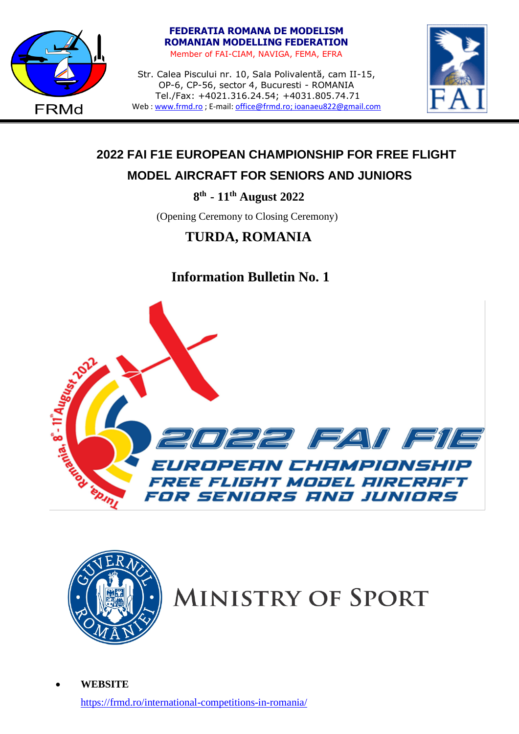

# **FEDERATIA ROMANA DE MODELISM ROMANIAN MODELLING FEDERATION**

Member of FAI-CIAM, NAVIGA, FEMA, EFRA

Str. Calea Piscului nr. 10, Sala Polivalentă, cam II-15, OP-6, CP-56, sector 4, Bucuresti - ROMANIA Tel./Fax: +4021.316.24.54; +4031.805.74.71 Web [: www.frmd.ro](http://www.frmd.ro/) ; E-mail: [office@frmd.ro;](mailto:office@frmd.ro) ioanaeu822@gmail.com



# **2022 FAI F1E EUROPEAN CHAMPIONSHIP FOR FREE FLIGHT**

# **MODEL AIRCRAFT FOR SENIORS AND JUNIORS**

 **8 th - 11th August 2022**

(Opening Ceremony to Closing Ceremony)

# **TURDA, ROMANIA**

# **Information Bulletin No. 1**





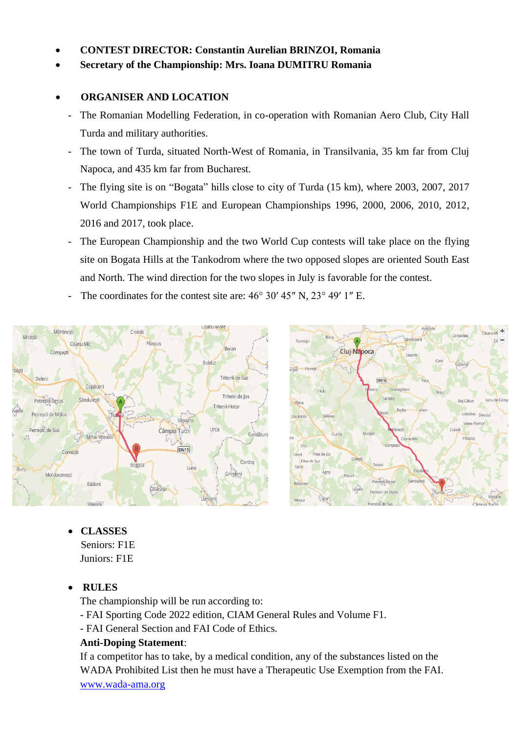#### • **CONTEST DIRECTOR: Constantin Aurelian BRINZOI, Romania**

• **Secretary of the Championship: Mrs. Ioana DUMITRU Romania**

#### • **ORGANISER AND LOCATION**

- The Romanian Modelling Federation, in co-operation with Romanian Aero Club, City Hall Turda and military authorities.
- The town of Turda, situated North-West of Romania, in Transilvania, 35 km far from Cluj Napoca, and 435 km far from Bucharest.
- The flying site is on "Bogata" hills close to city of Turda (15 km), where 2003, 2007, 2017 World Championships F1E and European Championships 1996, 2000, 2006, 2010, 2012, 2016 and 2017, took place.
- The European Championship and the two World Cup contests will take place on the flying site on Bogata Hills at the Tankodrom where the two opposed slopes are oriented South East and North. The wind direction for the two slopes in July is favorable for the contest.
- The coordinates for the contest site are:  $46^{\circ}$  30'  $45''$  N,  $23^{\circ}$  49' 1" E.





- **CLASSES** Seniors: F1E Juniors: F1E
- **RULES**

The championship will be run according to:

- FAI Sporting Code 2022 edition, CIAM General Rules and Volume F1.
- FAI General Section and FAI Code of Ethics.

#### **Anti-Doping Statement**:

If a competitor has to take, by a medical condition, any of the substances listed on the WADA Prohibited List then he must have a Therapeutic Use Exemption from the FAI. [www.wada-ama.org](http://www.wada-ama.org/)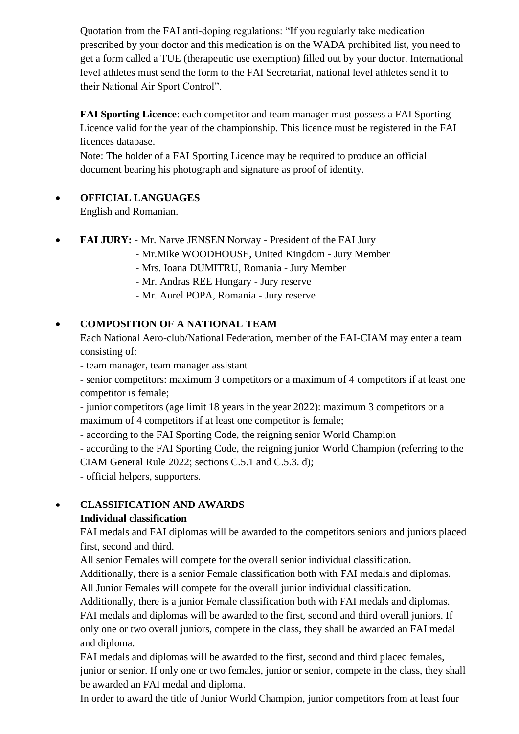Quotation from the FAI anti-doping regulations: "If you regularly take medication prescribed by your doctor and this medication is on the WADA prohibited list, you need to get a form called a TUE (therapeutic use exemption) filled out by your doctor. International level athletes must send the form to the FAI Secretariat, national level athletes send it to their National Air Sport Control".

**FAI Sporting Licence**: each competitor and team manager must possess a FAI Sporting Licence valid for the year of the championship. This licence must be registered in the FAI licences database.

Note: The holder of a FAI Sporting Licence may be required to produce an official document bearing his photograph and signature as proof of identity.

### • **OFFICIAL LANGUAGES**

English and Romanian.

- **FAI JURY:** Mr. Narve JENSEN Norway President of the FAI Jury
	- Mr.Mike WOODHOUSE, United Kingdom Jury Member
	- Mrs. Ioana DUMITRU, Romania Jury Member
	- Mr. Andras REE Hungary Jury reserve
	- Mr. Aurel POPA, Romania Jury reserve

# • **COMPOSITION OF A NATIONAL TEAM**

Each National Aero-club/National Federation, member of the FAI-CIAM may enter a team consisting of:

- team manager, team manager assistant

- senior competitors: maximum 3 competitors or a maximum of 4 competitors if at least one competitor is female;

- junior competitors (age limit 18 years in the year 2022): maximum 3 competitors or a maximum of 4 competitors if at least one competitor is female;

- according to the FAI Sporting Code, the reigning senior World Champion

- according to the FAI Sporting Code, the reigning junior World Champion (referring to the CIAM General Rule 2022; sections C.5.1 and C.5.3. d);

- official helpers, supporters.

# • **CLASSIFICATION AND AWARDS**

#### **Individual classification**

FAI medals and FAI diplomas will be awarded to the competitors seniors and juniors placed first, second and third.

All senior Females will compete for the overall senior individual classification.

Additionally, there is a senior Female classification both with FAI medals and diplomas.

All Junior Females will compete for the overall junior individual classification.

Additionally, there is a junior Female classification both with FAI medals and diplomas. FAI medals and diplomas will be awarded to the first, second and third overall juniors. If only one or two overall juniors, compete in the class, they shall be awarded an FAI medal and diploma.

FAI medals and diplomas will be awarded to the first, second and third placed females, junior or senior. If only one or two females, junior or senior, compete in the class, they shall be awarded an FAI medal and diploma.

In order to award the title of Junior World Champion, junior competitors from at least four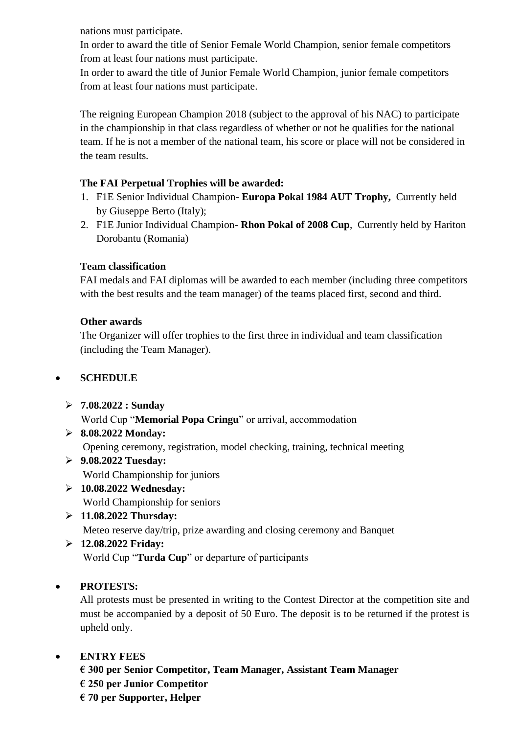nations must participate.

In order to award the title of Senior Female World Champion, senior female competitors from at least four nations must participate.

In order to award the title of Junior Female World Champion, junior female competitors from at least four nations must participate.

The reigning European Champion 2018 (subject to the approval of his NAC) to participate in the championship in that class regardless of whether or not he qualifies for the national team. If he is not a member of the national team, his score or place will not be considered in the team results.

### **The FAI Perpetual Trophies will be awarded:**

- 1. F1E Senior Individual Champion- **Europa Pokal 1984 AUT Trophy,** Currently held by Giuseppe Berto (Italy);
- 2. F1E Junior Individual Champion- **Rhon Pokal of 2008 Cup**, Currently held by Hariton Dorobantu (Romania)

### **Team classification**

FAI medals and FAI diplomas will be awarded to each member (including three competitors with the best results and the team manager) of the teams placed first, second and third.

### **Other awards**

The Organizer will offer trophies to the first three in individual and team classification (including the Team Manager).

# • **SCHEDULE**

- ➢ **7.08.2022 : Sunday** World Cup "**Memorial Popa Cringu**" or arrival, accommodation
- ➢ **8.08.2022 Monday:** Opening ceremony, registration, model checking, training, technical meeting
- ➢ **9.08.2022 Tuesday:** World Championship for juniors
- ➢ **10.08.2022 Wednesday:** World Championship for seniors
- ➢ **11.08.2022 Thursday:** Meteo reserve day/trip, prize awarding and closing ceremony and Banquet

# ➢ **12.08.2022 Friday:**

World Cup "**Turda Cup**" or departure of participants

# • **PROTESTS:**

All protests must be presented in writing to the Contest Director at the competition site and must be accompanied by a deposit of 50 Euro. The deposit is to be returned if the protest is upheld only.

# • **ENTRY FEES**

**€ 300 per Senior Competitor, Team Manager, Assistant Team Manager € 250 per Junior Competitor € 70 per Supporter, Helper**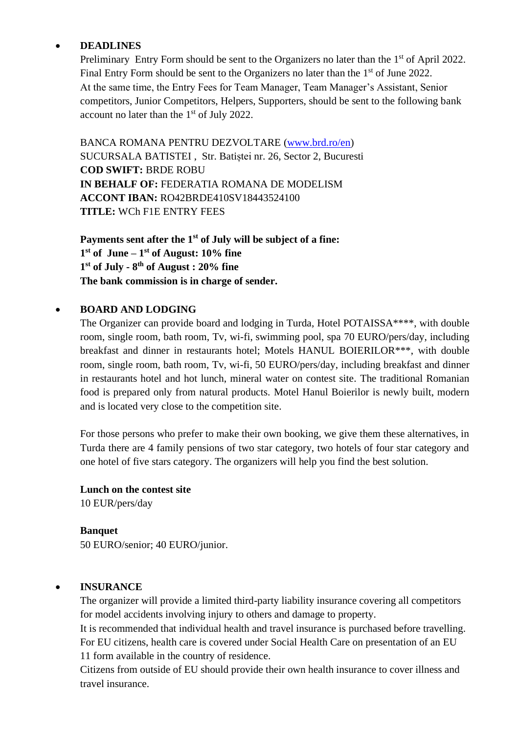#### • **DEADLINES**

Preliminary Entry Form should be sent to the Organizers no later than the 1<sup>st</sup> of April 2022. Final Entry Form should be sent to the Organizers no later than the  $1<sup>st</sup>$  of June 2022. At the same time, the Entry Fees for Team Manager, Team Manager's Assistant, Senior competitors, Junior Competitors, Helpers, Supporters, should be sent to the following bank account no later than the  $1<sup>st</sup>$  of July 2022.

BANCA ROMANA PENTRU DEZVOLTARE [\(www.brd.ro/en\)](http://www.brd.ro/en) SUCURSALA BATISTEI , Str. Batiștei nr. 26, Sector 2, Bucuresti **COD SWIFT:** BRDE ROBU **IN BEHALF OF:** FEDERATIA ROMANA DE MODELISM **ACCONT IBAN:** RO42BRDE410SV18443524100 **TITLE:** WCh F1E ENTRY FEES

**Payments sent after the 1st of July will be subject of a fine: 1 st of June – 1 st of August: 10% fine 1 st of July - 8 th of August : 20% fine The bank commission is in charge of sender.**

#### • **BOARD AND LODGING**

The Organizer can provide board and lodging in Turda, Hotel POTAISSA\*\*\*\*, with double room, single room, bath room, Tv, wi-fi, swimming pool, spa 70 EURO/pers/day, including breakfast and dinner in restaurants hotel; Motels HANUL BOIERILOR\*\*\*, with double room, single room, bath room, Tv, wi-fi, 50 EURO/pers/day, including breakfast and dinner in restaurants hotel and hot lunch, mineral water on contest site. The traditional Romanian food is prepared only from natural products. Motel Hanul Boierilor is newly built, modern and is located very close to the competition site.

For those persons who prefer to make their own booking, we give them these alternatives, in Turda there are 4 family pensions of two star category, two hotels of four star category and one hotel of five stars category. The organizers will help you find the best solution.

**Lunch on the contest site** 10 EUR/pers/day

**Banquet** 50 EURO/senior; 40 EURO/junior.

#### • **INSURANCE**

The organizer will provide a limited third-party liability insurance covering all competitors for model accidents involving injury to others and damage to property.

It is recommended that individual health and travel insurance is purchased before travelling. For EU citizens, health care is covered under Social Health Care on presentation of an EU 11 form available in the country of residence.

Citizens from outside of EU should provide their own health insurance to cover illness and travel insurance.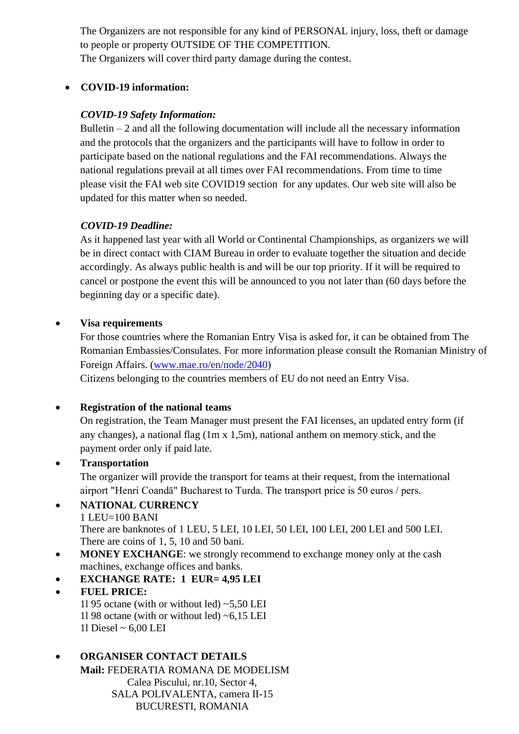The Organizers are not responsible for any kind of PERSONAL injury, loss, theft or damage to people or property OUTSIDE OF THE COMPETITION. The Organizers will cover third party damage during the contest.

#### • **COVID-19 information:**

### *COVID-19 Safety Information:*

Bulletin  $-2$  and all the following documentation will include all the necessary information and the protocols that the organizers and the participants will have to follow in order to participate based on the national regulations and the FAI recommendations. Always the national regulations prevail at all times over FAI recommendations. From time to time please visit the FAI web site COVID19 section for any updates. Our web site will also be updated for this matter when so needed.

#### *COVID-19 Deadline:*

As it happened last year with all World or Continental Championships, as organizers we will be in direct contact with CIAM Bureau in order to evaluate together the situation and decide accordingly. As always public health is and will be our top priority. If it will be required to cancel or postpone the event this will be announced to you not later than (60 days before the beginning day or a specific date).

#### • **Visa requirements**

For those countries where the Romanian Entry Visa is asked for, it can be obtained from The Romanian Embassies/Consulates. For more information please consult the Romanian Ministry of Foreign Affairs. [\(www.mae.ro/en/node/2040\)](http://www.mae.ro/en/node/2040)

Citizens belonging to the countries members of EU do not need an Entry Visa.

#### • **Registration of the national teams**

On registration, the Team Manager must present the FAI licenses, an updated entry form (if any changes), a national flag (1m x 1,5m), national anthem on memory stick, and the payment order only if paid late.

#### • **Transportation**

The organizer will provide the transport for teams at their request, from the international airport "Henri Coandă" Bucharest to Turda. The transport price is 50 euros / pers.

# • **NATIONAL CURRENCY**

1 LEU=100 BANI

There are banknotes of 1 LEU, 5 LEI, 10 LEI, 50 LEI, 100 LEI, 200 LEI and 500 LEI. There are coins of 1, 5, 10 and 50 bani.

• **MONEY EXCHANGE**: we strongly recommend to exchange money only at the cash machines, exchange offices and banks.

# • **EXCHANGE RATE: 1 EUR= 4,95 LEI**

• **FUEL PRICE:** 11 95 octane (with or without led)  $\sim$  5,50 LEI 11 98 octane (with or without led)  $~6,15$  LEI 1l Diesel ~ 6,00 LEI

# • **ORGANISER CONTACT DETAILS**

**Mail:** FEDERATIA ROMANA DE MODELISM Calea Piscului, nr.10, Sector 4, SALA POLIVALENTA, camera II-15 BUCURESTI, ROMANIA